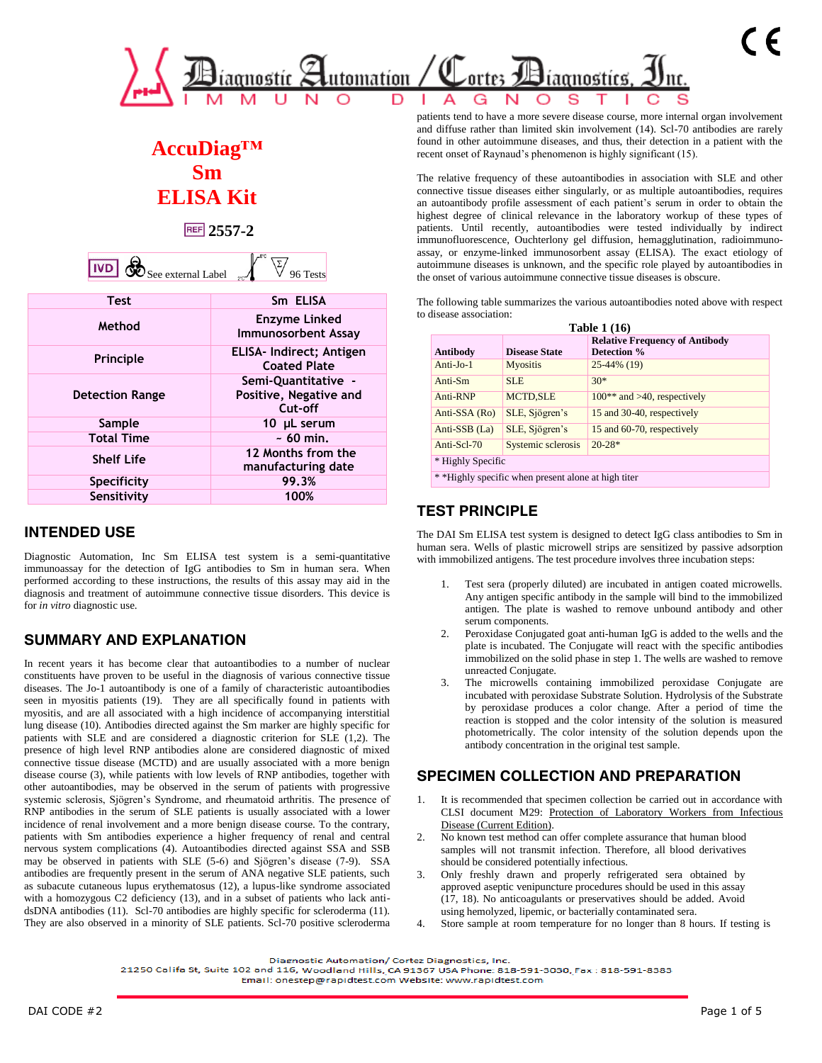

# **AccuDiag™ Sm ELISA Kit**

**2557-2**

| <b>IVD</b> | Жħ<br>See external Label |  |  |
|------------|--------------------------|--|--|
|            |                          |  |  |

| <b>Test</b>            | Sm ELISA                                                 |
|------------------------|----------------------------------------------------------|
| Method                 | <b>Enzyme Linked</b><br><b>Immunosorbent Assay</b>       |
| Principle              | ELISA- Indirect; Antigen<br><b>Coated Plate</b>          |
| <b>Detection Range</b> | Semi-Quantitative -<br>Positive, Negative and<br>Cut-off |
| Sample                 | 10 µL serum                                              |
| <b>Total Time</b>      | $\sim 60$ min.                                           |
| <b>Shelf Life</b>      | 12 Months from the<br>manufacturing date                 |
| Specificity            | 99.3%                                                    |
| Sensitivity            | 100%                                                     |

### **INTENDED USE**

Diagnostic Automation, Inc Sm ELISA test system is a semi-quantitative immunoassay for the detection of IgG antibodies to Sm in human sera. When performed according to these instructions, the results of this assay may aid in the diagnosis and treatment of autoimmune connective tissue disorders. This device is for *in vitro* diagnostic use.

# **SUMMARY AND EXPLANATION**

In recent years it has become clear that autoantibodies to a number of nuclear constituents have proven to be useful in the diagnosis of various connective tissue diseases. The Jo-1 autoantibody is one of a family of characteristic autoantibodies seen in myositis patients (19). They are all specifically found in patients with myositis, and are all associated with a high incidence of accompanying interstitial lung disease (10). Antibodies directed against the Sm marker are highly specific for patients with SLE and are considered a diagnostic criterion for SLE (1,2). The presence of high level RNP antibodies alone are considered diagnostic of mixed connective tissue disease (MCTD) and are usually associated with a more benign disease course (3), while patients with low levels of RNP antibodies, together with other autoantibodies, may be observed in the serum of patients with progressive systemic sclerosis, Sjögren's Syndrome, and rheumatoid arthritis. The presence of RNP antibodies in the serum of SLE patients is usually associated with a lower incidence of renal involvement and a more benign disease course. To the contrary, patients with Sm antibodies experience a higher frequency of renal and central nervous system complications (4). Autoantibodies directed against SSA and SSB may be observed in patients with SLE (5-6) and Sjögren's disease (7-9). SSA antibodies are frequently present in the serum of ANA negative SLE patients, such as subacute cutaneous lupus erythematosus (12), a lupus-like syndrome associated with a homozygous C2 deficiency (13), and in a subset of patients who lack antidsDNA antibodies (11). Scl-70 antibodies are highly specific for scleroderma (11). They are also observed in a minority of SLE patients. Scl-70 positive scleroderma

patients tend to have a more severe disease course, more internal organ involvement and diffuse rather than limited skin involvement (14). Scl-70 antibodies are rarely found in other autoimmune diseases, and thus, their detection in a patient with the recent onset of Raynaud's phenomenon is highly significant (15).

The relative frequency of these autoantibodies in association with SLE and other connective tissue diseases either singularly, or as multiple autoantibodies, requires an autoantibody profile assessment of each patient's serum in order to obtain the highest degree of clinical relevance in the laboratory workup of these types of patients. Until recently, autoantibodies were tested individually by indirect immunofluorescence, Ouchterlony gel diffusion, hemagglutination, radioimmunoassay, or enzyme-linked immunosorbent assay (ELISA). The exact etiology of autoimmune diseases is unknown, and the specific role played by autoantibodies in the onset of various autoimmune connective tissue diseases is obscure.

The following table summarizes the various autoantibodies noted above with respect to disease association:

| <b>Table 1 (16)</b>                                 |                      |                                                      |  |  |  |  |  |  |
|-----------------------------------------------------|----------------------|------------------------------------------------------|--|--|--|--|--|--|
| Antibody                                            | <b>Disease State</b> | <b>Relative Frequency of Antibody</b><br>Detection % |  |  |  |  |  |  |
| $Anti-Io-1$                                         | <b>Myositis</b>      | 25-44% (19)                                          |  |  |  |  |  |  |
| Anti-Sm                                             | <b>SLE</b>           | $30*$                                                |  |  |  |  |  |  |
| Anti-RNP                                            | <b>MCTD, SLE</b>     | $100**$ and $>40$ , respectively                     |  |  |  |  |  |  |
| Anti-SSA (Ro)                                       | SLE, Sjögren's       | 15 and 30-40, respectively                           |  |  |  |  |  |  |
| Anti-SSB (La)                                       | SLE, Sjögren's       | 15 and 60-70, respectively                           |  |  |  |  |  |  |
| Anti-Scl-70                                         | Systemic sclerosis   | $20-28*$                                             |  |  |  |  |  |  |
| * Highly Specific                                   |                      |                                                      |  |  |  |  |  |  |
| * *Highly specific when present alone at high titer |                      |                                                      |  |  |  |  |  |  |

# **TEST PRINCIPLE**

The DAI Sm ELISA test system is designed to detect IgG class antibodies to Sm in human sera. Wells of plastic microwell strips are sensitized by passive adsorption with immobilized antigens. The test procedure involves three incubation steps:

- Test sera (properly diluted) are incubated in antigen coated microwells. Any antigen specific antibody in the sample will bind to the immobilized antigen. The plate is washed to remove unbound antibody and other serum components.
- 2. Peroxidase Conjugated goat anti-human IgG is added to the wells and the plate is incubated. The Conjugate will react with the specific antibodies immobilized on the solid phase in step 1. The wells are washed to remove unreacted Conjugate.
- 3. The microwells containing immobilized peroxidase Conjugate are incubated with peroxidase Substrate Solution. Hydrolysis of the Substrate by peroxidase produces a color change. After a period of time the reaction is stopped and the color intensity of the solution is measured photometrically. The color intensity of the solution depends upon the antibody concentration in the original test sample.

# **SPECIMEN COLLECTION AND PREPARATION**

- It is recommended that specimen collection be carried out in accordance with CLSI document M29: Protection of Laboratory Workers from Infectious Disease (Current Edition).
- 2. No known test method can offer complete assurance that human blood samples will not transmit infection. Therefore, all blood derivatives should be considered potentially infectious.
- 3. Only freshly drawn and properly refrigerated sera obtained by approved aseptic venipuncture procedures should be used in this assay (17, 18). No anticoagulants or preservatives should be added. Avoid using hemolyzed, lipemic, or bacterially contaminated sera.
- 4. Store sample at room temperature for no longer than 8 hours. If testing is

21250 Califa St, Suite 102 and 116, Woodland Hills, CA 91367 USA Phone: 818-591-3030, Fax: 818-591-8383

Email: onestep@rapidtest.com Website: www.rapidtest.com

Diagnostic Automation/ Cortez Diagnostics, Inc.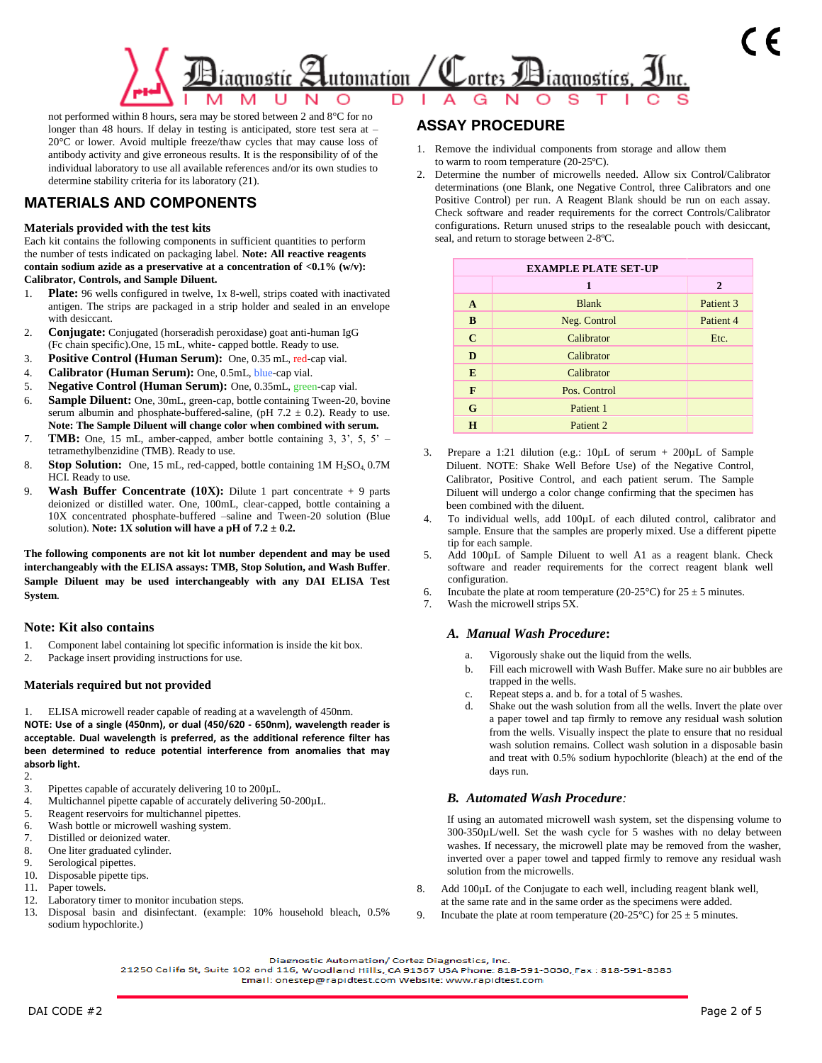

not performed within 8 hours, sera may be stored between 2 and 8°C for no longer than 48 hours. If delay in testing is anticipated, store test sera at – 20°C or lower. Avoid multiple freeze/thaw cycles that may cause loss of antibody activity and give erroneous results. It is the responsibility of of the individual laboratory to use all available references and/or its own studies to determine stability criteria for its laboratory (21).

# **MATERIALS AND COMPONENTS**

#### **Materials provided with the test kits**

Each kit contains the following components in sufficient quantities to perform the number of tests indicated on packaging label. **Note: All reactive reagents contain sodium azide as a preservative at a concentration of <0.1% (w/v): Calibrator, Controls, and Sample Diluent.** 

- 1. **Plate:** 96 wells configured in twelve, 1x 8-well, strips coated with inactivated antigen. The strips are packaged in a strip holder and sealed in an envelope with desiccant.
- 2. **Conjugate:** Conjugated (horseradish peroxidase) goat anti-human IgG (Fc chain specific).One, 15 mL, white- capped bottle. Ready to use.
- 3. **Positive Control (Human Serum):** One, 0.35 mL, red-cap vial.
- 4. **Calibrator (Human Serum):** One, 0.5mL, blue-cap vial.
- 5. **Negative Control (Human Serum):** One, 0.35mL, green-cap vial.
- Sample Diluent: One, 30mL, green-cap, bottle containing Tween-20, bovine serum albumin and phosphate-buffered-saline, (pH  $7.2 \pm 0.2$ ). Ready to use. **Note: The Sample Diluent will change color when combined with serum.**
- 7. **TMB:** One, 15 mL, amber-capped, amber bottle containing 3, 3', 5, 5' tetramethylbenzidine (TMB). Ready to use.
- 8. **Stop Solution:** One, 15 mL, red-capped, bottle containing 1M H<sub>2</sub>SO<sub>4</sub>, 0.7M HCI. Ready to use.
- 9. **Wash Buffer Concentrate (10X):** Dilute 1 part concentrate + 9 parts deionized or distilled water. One, 100mL, clear-capped, bottle containing a 10X concentrated phosphate-buffered –saline and Tween-20 solution (Blue solution). **Note: 1X solution will have a pH of 7.2 ± 0.2.**

**The following components are not kit lot number dependent and may be used interchangeably with the ELISA assays: TMB, Stop Solution, and Wash Buffer**. **Sample Diluent may be used interchangeably with any DAI ELISA Test System**.

#### **Note: Kit also contains**

- 1. Component label containing lot specific information is inside the kit box.
- 2. Package insert providing instructions for use.

#### **Materials required but not provided**

1. ELISA microwell reader capable of reading at a wavelength of 450nm. **NOTE: Use of a single (450nm), or dual (450/620 - 650nm), wavelength reader is acceptable. Dual wavelength is preferred, as the additional reference filter has been determined to reduce potential interference from anomalies that may absorb light.** 

- $\frac{2}{3}$
- Pipettes capable of accurately delivering 10 to 200µL.
- 4. Multichannel pipette capable of accurately delivering 50-200µL.
- 5. Reagent reservoirs for multichannel pipettes.
- 6. Wash bottle or microwell washing system.
- 7. Distilled or deionized water.
- 8. One liter graduated cylinder.
- 9. Serological pipettes.
- 10. Disposable pipette tips.
- 11. Paper towels.
- 12. Laboratory timer to monitor incubation steps.<br>13. Disposal basin and disinfectant (example:
- Disposal basin and disinfectant. (example: 10% household bleach, 0.5% sodium hypochlorite.)

### **ASSAY PROCEDURE**

- 1. Remove the individual components from storage and allow them to warm to room temperature (20-25ºC).
- 2. Determine the number of microwells needed. Allow six Control/Calibrator determinations (one Blank, one Negative Control, three Calibrators and one Positive Control) per run. A Reagent Blank should be run on each assay. Check software and reader requirements for the correct Controls/Calibrator configurations. Return unused strips to the resealable pouch with desiccant, seal, and return to storage between 2-8ºC.

| <b>EXAMPLE PLATE SET-UP</b> |                      |                      |  |  |  |  |  |
|-----------------------------|----------------------|----------------------|--|--|--|--|--|
|                             | 1                    | $\mathbf{2}$         |  |  |  |  |  |
| $\mathbf{A}$                | <b>Blank</b>         | Patient <sub>3</sub> |  |  |  |  |  |
| B                           | Neg. Control         | Patient <sub>4</sub> |  |  |  |  |  |
| $\mathbf C$                 | Calibrator           | Etc.                 |  |  |  |  |  |
| D                           | Calibrator           |                      |  |  |  |  |  |
| E                           | Calibrator           |                      |  |  |  |  |  |
| F                           | Pos. Control         |                      |  |  |  |  |  |
| $\mathbf G$                 | Patient 1            |                      |  |  |  |  |  |
| H                           | Patient <sub>2</sub> |                      |  |  |  |  |  |

- 3. Prepare a 1:21 dilution (e.g.:  $10\mu L$  of serum +  $200\mu L$  of Sample Diluent. NOTE: Shake Well Before Use) of the Negative Control, Calibrator, Positive Control, and each patient serum. The Sample Diluent will undergo a color change confirming that the specimen has been combined with the diluent.
- 4. To individual wells, add 100µL of each diluted control, calibrator and sample. Ensure that the samples are properly mixed. Use a different pipette tip for each sample.
- 5. Add 100µL of Sample Diluent to well A1 as a reagent blank. Check software and reader requirements for the correct reagent blank well configuration.
- 6. Incubate the plate at room temperature (20-25°C) for  $25 \pm 5$  minutes.
- 7. Wash the microwell strips 5X.

#### *A. Manual Wash Procedure***:**

- a. Vigorously shake out the liquid from the wells.
- b. Fill each microwell with Wash Buffer. Make sure no air bubbles are trapped in the wells.
- c. Repeat steps a. and b. for a total of 5 washes.
- d. Shake out the wash solution from all the wells. Invert the plate over a paper towel and tap firmly to remove any residual wash solution from the wells. Visually inspect the plate to ensure that no residual wash solution remains. Collect wash solution in a disposable basin and treat with 0.5% sodium hypochlorite (bleach) at the end of the days run.

### *B. Automated Wash Procedure:*

If using an automated microwell wash system, set the dispensing volume to 300-350µL/well. Set the wash cycle for 5 washes with no delay between washes. If necessary, the microwell plate may be removed from the washer, inverted over a paper towel and tapped firmly to remove any residual wash solution from the microwells.

- Add  $100\mu$ L of the Conjugate to each well, including reagent blank well, at the same rate and in the same order as the specimens were added.
- 9. Incubate the plate at room temperature (20-25°C) for  $25 \pm 5$  minutes.

Diagnostic Automation/ Cortez Diagnostics, Inc.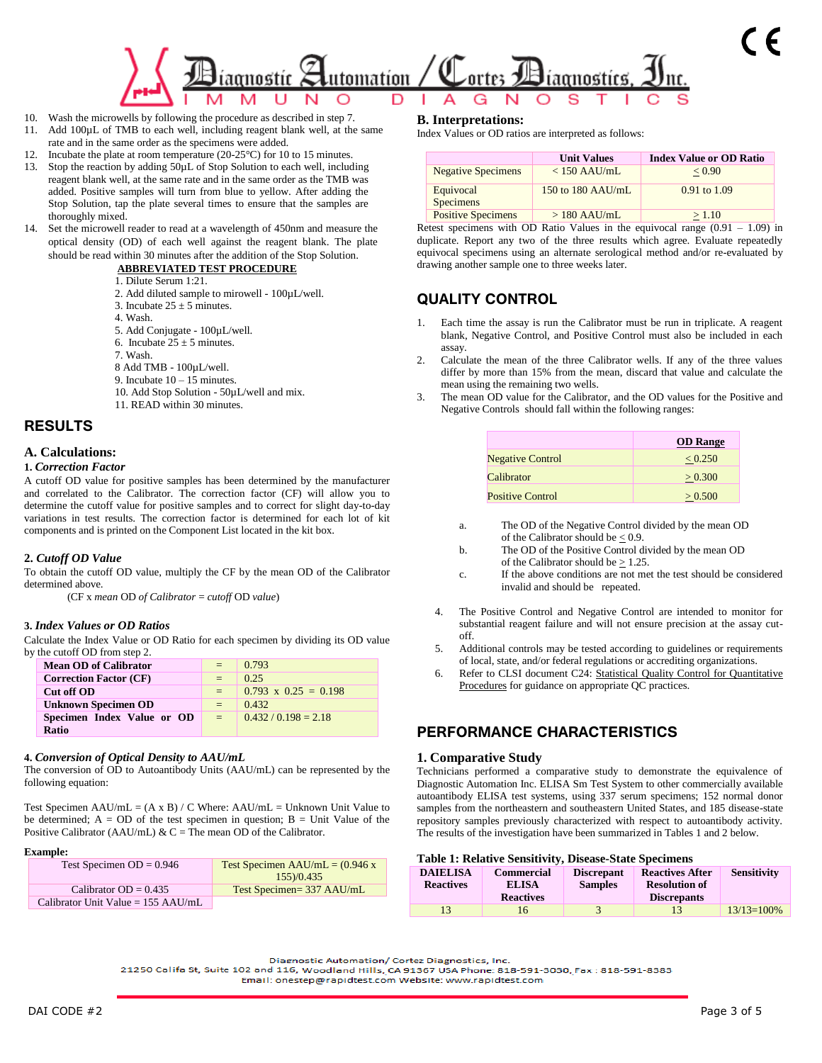

- 10. Wash the microwells by following the procedure as described in step 7.
- 11. Add 100µL of TMB to each well, including reagent blank well, at the same rate and in the same order as the specimens were added.
- 12. Incubate the plate at room temperature (20-25°C) for 10 to 15 minutes.
- 13. Stop the reaction by adding 50µL of Stop Solution to each well, including reagent blank well, at the same rate and in the same order as the TMB was added. Positive samples will turn from blue to yellow. After adding the Stop Solution, tap the plate several times to ensure that the samples are thoroughly mixed.
- 14. Set the microwell reader to read at a wavelength of 450nm and measure the optical density (OD) of each well against the reagent blank. The plate should be read within 30 minutes after the addition of the Stop Solution.

#### **ABBREVIATED TEST PROCEDURE**

- 1. Dilute Serum 1:21.
- 2. Add diluted sample to mirowell 100µL/well.
- 3. Incubate  $25 \pm 5$  minutes.
- 4. Wash.
- 5. Add Conjugate 100µL/well.
- 6. Incubate  $25 \pm 5$  minutes.
- 7. Wash.
- 8 Add TMB 100µL/well.
- 9. Incubate  $10 15$  minutes.
- 10. Add Stop Solution 50µL/well and mix.
- 11. READ within 30 minutes.

### **RESULTS**

#### **A. Calculations:**

#### **1.** *Correction Factor*

A cutoff OD value for positive samples has been determined by the manufacturer and correlated to the Calibrator. The correction factor (CF) will allow you to determine the cutoff value for positive samples and to correct for slight day-to-day variations in test results. The correction factor is determined for each lot of kit components and is printed on the Component List located in the kit box.

#### **2.** *Cutoff OD Value*

To obtain the cutoff OD value, multiply the CF by the mean OD of the Calibrator determined above.

(CF x *mean* OD *of Calibrator* = *cutoff* OD *value*)

#### **3.** *Index Values or OD Ratios*

Calculate the Index Value or OD Ratio for each specimen by dividing its OD value by the cutoff OD from step 2.

| <b>Mean OD of Calibrator</b>  | $=$ | 0.793                       |
|-------------------------------|-----|-----------------------------|
| <b>Correction Factor (CF)</b> | $=$ | 0.25                        |
| Cut off OD                    | $=$ | $0.793 \times 0.25 = 0.198$ |
| <b>Unknown Specimen OD</b>    | $=$ | 0.432                       |
| Specimen Index Value or OD    | $=$ | $0.432 / 0.198 = 2.18$      |
| <b>Ratio</b>                  |     |                             |

#### **4.** *Conversion of Optical Density to AAU/mL*

The conversion of OD to Autoantibody Units (AAU/mL) can be represented by the following equation:

Test Specimen AAU/mL =  $(A \times B) / C$  Where: AAU/mL = Unknown Unit Value to be determined;  $A = OD$  of the test specimen in question;  $B = Unit$  Value of the Positive Calibrator (AAU/mL) & C = The mean OD of the Calibrator.

#### **Example:**

| Test Specimen $OD = 0.946$           | Test Specimen AAU/mL = $(0.946 x$ |
|--------------------------------------|-----------------------------------|
|                                      | 155/0.435                         |
| Calibrator $OD = 0.435$              | Test Specimen=337 AAU/mL          |
| Calibrator Unit Value = $155$ AAU/mL |                                   |

#### **B. Interpretations:**

Index Values or OD ratios are interpreted as follows:

|                               | <b>Unit Values</b>  | <b>Index Value or OD Ratio</b> |
|-------------------------------|---------------------|--------------------------------|
| <b>Negative Specimens</b>     | $< 150$ AAU/mL      | ${}_{< 0.90}$                  |
| Equivocal<br><b>Specimens</b> | 150 to 180 $AAU/mL$ | 0.91 to 1.09                   |
| <b>Positive Specimens</b>     | $>180$ AAU/mL       | > 1.10                         |

Retest specimens with OD Ratio Values in the equivocal range  $(0.91 - 1.09)$  in duplicate. Report any two of the three results which agree. Evaluate repeatedly equivocal specimens using an alternate serological method and/or re-evaluated by drawing another sample one to three weeks later.

### **QUALITY CONTROL**

- Each time the assay is run the Calibrator must be run in triplicate. A reagent blank, Negative Control, and Positive Control must also be included in each assay.
- 2. Calculate the mean of the three Calibrator wells. If any of the three values differ by more than 15% from the mean, discard that value and calculate the mean using the remaining two wells.
- 3. The mean OD value for the Calibrator, and the OD values for the Positive and Negative Controls should fall within the following ranges:

|                         | <b>OD</b> Range |
|-------------------------|-----------------|
| <b>Negative Control</b> | < 0.250         |
| Calibrator              | > 0.300         |
| <b>Positive Control</b> | > 0.500         |

- a. The OD of the Negative Control divided by the mean OD of the Calibrator should be  $\leq 0.9$ .
- b. The OD of the Positive Control divided by the mean OD of the Calibrator should be  $\geq 1.25$ .
- c. If the above conditions are not met the test should be considered invalid and should be repeated.
- 4. The Positive Control and Negative Control are intended to monitor for substantial reagent failure and will not ensure precision at the assay cutoff.
- 5. Additional controls may be tested according to guidelines or requirements of local, state, and/or federal regulations or accrediting organizations.
- 6. Refer to CLSI document C24: Statistical Quality Control for Quantitative Procedures for guidance on appropriate QC practices.

### **PERFORMANCE CHARACTERISTICS**

#### **1. Comparative Study**

Technicians performed a comparative study to demonstrate the equivalence of Diagnostic Automation Inc. ELISA Sm Test System to other commercially available autoantibody ELISA test systems, using 337 serum specimens; 152 normal donor samples from the northeastern and southeastern United States, and 185 disease-state repository samples previously characterized with respect to autoantibody activity. The results of the investigation have been summarized in Tables 1 and 2 below.

#### **Table 1: Relative Sensitivity, Disease-State Specimens**

| <b>DAIELISA</b><br><b>Reactives</b> | <b>Commercial</b><br><b>ELISA</b><br><b>Reactives</b> | <b>Discrepant</b><br><b>Samples</b> | <b>Reactives After</b><br><b>Resolution of</b><br><b>Discrepants</b> | <b>Sensitivity</b> |
|-------------------------------------|-------------------------------------------------------|-------------------------------------|----------------------------------------------------------------------|--------------------|
| 13                                  | l b                                                   |                                     |                                                                      | $13/13=100%$       |

Diagnostic Automation/ Cortez Diagnostics, Inc.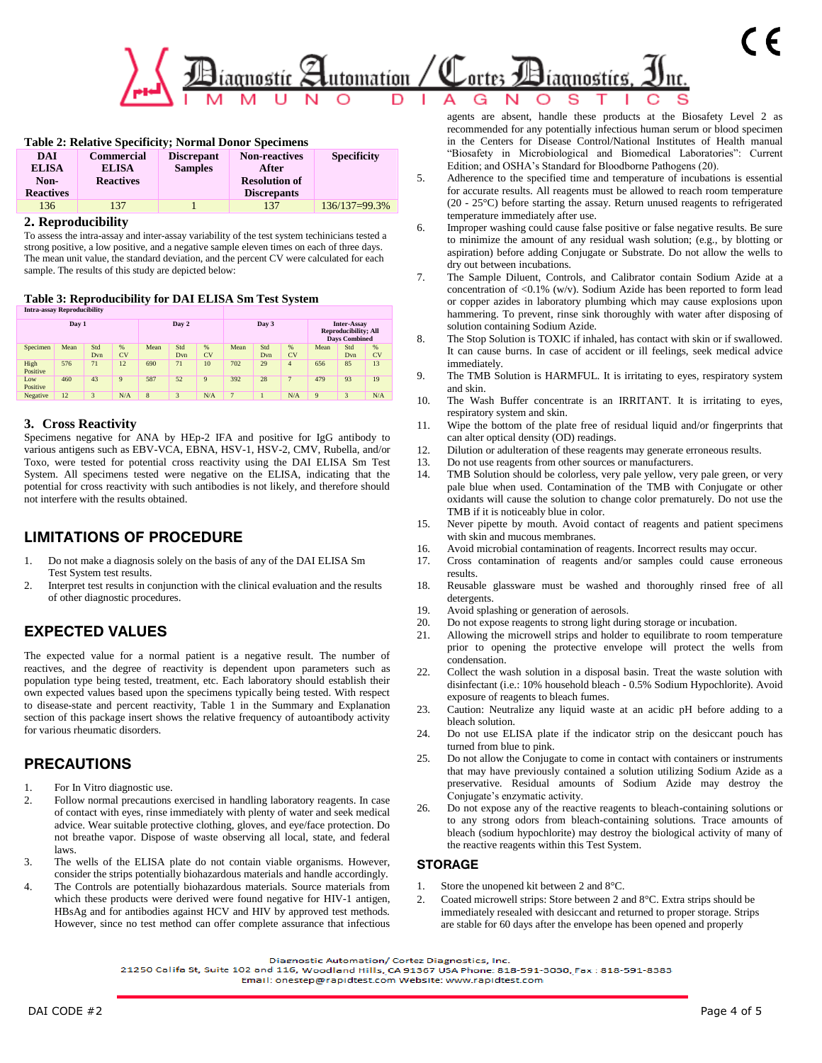

| <b>Table 2: Relative Specificity; Normal Donor Specimens</b> |                                                                                      |  |                    |               |  |  |  |  |  |  |
|--------------------------------------------------------------|--------------------------------------------------------------------------------------|--|--------------------|---------------|--|--|--|--|--|--|
| <b>DAI</b>                                                   | <b>Commercial</b><br><b>Non-reactives</b><br><b>Specificity</b><br><b>Discrepant</b> |  |                    |               |  |  |  |  |  |  |
| <b>ELISA</b>                                                 | <b>Samples</b><br><b>ELISA</b><br>After                                              |  |                    |               |  |  |  |  |  |  |
| Non-                                                         | <b>Resolution of</b><br><b>Reactives</b>                                             |  |                    |               |  |  |  |  |  |  |
| <b>Reactives</b>                                             |                                                                                      |  | <b>Discrepants</b> |               |  |  |  |  |  |  |
| 136                                                          | 137                                                                                  |  | 137                | 136/137=99.3% |  |  |  |  |  |  |

#### **2. Reproducibility**

To assess the intra-assay and inter-assay variability of the test system techinicians tested a strong positive, a low positive, and a negative sample eleven times on each of three days. The mean unit value, the standard deviation, and the percent CV were calculated for each sample. The results of this study are depicted below:

**Table 3: Reproducibility for DAI ELISA Sm Test System**

| <b>Intra-assay Reproducibility</b> |      |            |         |                         |            |         |                 |            |                                                                                                                                      |     |    |     |
|------------------------------------|------|------------|---------|-------------------------|------------|---------|-----------------|------------|--------------------------------------------------------------------------------------------------------------------------------------|-----|----|-----|
| Day 1                              |      |            |         | Day 2                   |            |         | Day 3           |            | <b>Inter-Assay</b><br><b>Reproducibility; All</b><br><b>Days Combined</b><br>Std<br>%<br>Mean<br><b>CV</b><br>Dvn<br>13<br>85<br>656 |     |    |     |
| Specimen                           | Mean | Std<br>Dvn | %<br>CV | Mean                    | Std<br>Dvn | %<br>CV | Mean            | Std<br>Dvn | %<br><b>CV</b>                                                                                                                       |     |    |     |
| High<br>Positive                   | 576  | 71         | 12      | 690                     | 71         | 10      | 702             | 29         | $\overline{4}$                                                                                                                       |     |    |     |
| Low<br>Positive                    | 460  | 43         | 9       | 587                     | 52         | 9       | 392             | 28         | $\overline{7}$                                                                                                                       | 479 | 93 | 19  |
| Negative                           | 12   | 3          | N/A     | $\overline{\mathbf{8}}$ | 3          | N/A     | $7\phantom{.0}$ |            | N/A                                                                                                                                  | 9   | 3  | N/A |

### **3. Cross Reactivity**

Specimens negative for ANA by HEp-2 IFA and positive for IgG antibody to various antigens such as EBV-VCA, EBNA, HSV-1, HSV-2, CMV, Rubella, and/or Toxo, were tested for potential cross reactivity using the DAI ELISA Sm Test System. All specimens tested were negative on the ELISA, indicating that the potential for cross reactivity with such antibodies is not likely, and therefore should not interfere with the results obtained.

# **LIMITATIONS OF PROCEDURE**

- 1. Do not make a diagnosis solely on the basis of any of the DAI ELISA Sm Test System test results.
- 2. Interpret test results in conjunction with the clinical evaluation and the results of other diagnostic procedures.

# **EXPECTED VALUES**

The expected value for a normal patient is a negative result. The number of reactives, and the degree of reactivity is dependent upon parameters such as population type being tested, treatment, etc. Each laboratory should establish their own expected values based upon the specimens typically being tested. With respect to disease-state and percent reactivity, Table 1 in the Summary and Explanation section of this package insert shows the relative frequency of autoantibody activity for various rheumatic disorders.

# **PRECAUTIONS**

- 1. For In Vitro diagnostic use.
- 2. Follow normal precautions exercised in handling laboratory reagents. In case of contact with eyes, rinse immediately with plenty of water and seek medical advice. Wear suitable protective clothing, gloves, and eye/face protection. Do not breathe vapor. Dispose of waste observing all local, state, and federal laws.
- 3. The wells of the ELISA plate do not contain viable organisms. However, consider the strips potentially biohazardous materials and handle accordingly.
- 4. The Controls are potentially biohazardous materials. Source materials from which these products were derived were found negative for HIV-1 antigen, HBsAg and for antibodies against HCV and HIV by approved test methods. However, since no test method can offer complete assurance that infectious

agents are absent, handle these products at the Biosafety Level 2 as recommended for any potentially infectious human serum or blood specimen in the Centers for Disease Control/National Institutes of Health manual "Biosafety in Microbiological and Biomedical Laboratories": Current Edition; and OSHA's Standard for Bloodborne Pathogens (20).

- 5. Adherence to the specified time and temperature of incubations is essential for accurate results. All reagents must be allowed to reach room temperature (20 - 25°C) before starting the assay. Return unused reagents to refrigerated temperature immediately after use.
- 6. Improper washing could cause false positive or false negative results. Be sure to minimize the amount of any residual wash solution; (e.g., by blotting or aspiration) before adding Conjugate or Substrate. Do not allow the wells to dry out between incubations.
- 7. The Sample Diluent, Controls, and Calibrator contain Sodium Azide at a concentration of <0.1% (w/v). Sodium Azide has been reported to form lead or copper azides in laboratory plumbing which may cause explosions upon hammering. To prevent, rinse sink thoroughly with water after disposing of solution containing Sodium Azide.
- 8. The Stop Solution is TOXIC if inhaled, has contact with skin or if swallowed. It can cause burns. In case of accident or ill feelings, seek medical advice immediately.
- 9. The TMB Solution is HARMFUL. It is irritating to eyes, respiratory system and skin.
- 10. The Wash Buffer concentrate is an IRRITANT. It is irritating to eyes, respiratory system and skin.
- 11. Wipe the bottom of the plate free of residual liquid and/or fingerprints that can alter optical density (OD) readings.
- 12. Dilution or adulteration of these reagents may generate erroneous results.
- 13. Do not use reagents from other sources or manufacturers.
- 14. TMB Solution should be colorless, very pale yellow, very pale green, or very pale blue when used. Contamination of the TMB with Conjugate or other oxidants will cause the solution to change color prematurely. Do not use the TMB if it is noticeably blue in color.
- 15. Never pipette by mouth. Avoid contact of reagents and patient specimens with skin and mucous membranes.
- 16. Avoid microbial contamination of reagents. Incorrect results may occur.
- 17. Cross contamination of reagents and/or samples could cause erroneous results.
- 18. Reusable glassware must be washed and thoroughly rinsed free of all detergents.
- 19. Avoid splashing or generation of aerosols.
- 20. Do not expose reagents to strong light during storage or incubation.
- 21. Allowing the microwell strips and holder to equilibrate to room temperature prior to opening the protective envelope will protect the wells from condensation.
- 22. Collect the wash solution in a disposal basin. Treat the waste solution with disinfectant (i.e.: 10% household bleach - 0.5% Sodium Hypochlorite). Avoid exposure of reagents to bleach fumes.
- 23. Caution: Neutralize any liquid waste at an acidic pH before adding to a bleach solution.
- 24. Do not use ELISA plate if the indicator strip on the desiccant pouch has turned from blue to pink.
- 25. Do not allow the Conjugate to come in contact with containers or instruments that may have previously contained a solution utilizing Sodium Azide as a preservative. Residual amounts of Sodium Azide may destroy the Conjugate's enzymatic activity.
- 26. Do not expose any of the reactive reagents to bleach-containing solutions or to any strong odors from bleach-containing solutions. Trace amounts of bleach (sodium hypochlorite) may destroy the biological activity of many of the reactive reagents within this Test System.

### **STORAGE**

- 1. Store the unopened kit between 2 and 8°C.
- 2. Coated microwell strips: Store between 2 and 8°C. Extra strips should be immediately resealed with desiccant and returned to proper storage. Strips are stable for 60 days after the envelope has been opened and properly

Diagnostic Automation/ Cortez Diagnostics, Inc.